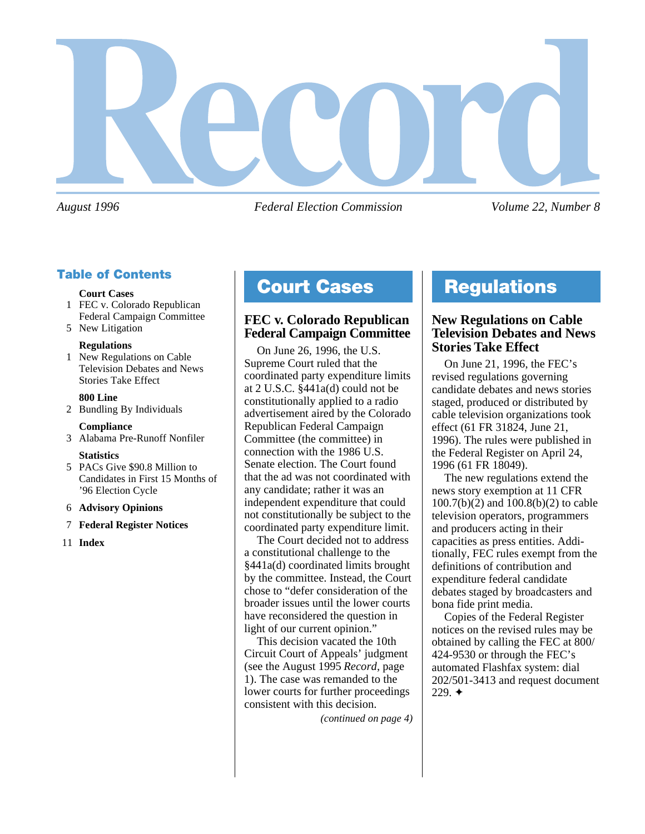

*August 1996 Federal Election Commission Volume 22, Number 8*

# **Table of Contents**

#### **Court Cases**

1 FEC v. Colorado Republican Federal Campaign Committee

# 5 New Litigation

#### **Regulations**

1 New Regulations on Cable Television Debates and News Stories Take Effect

#### **800 Line**

2 Bundling By Individuals

#### **Compliance**

3 Alabama Pre-Runoff Nonfiler

#### **Statistics**

- 5 PACs Give \$90.8 Million to Candidates in First 15 Months of '96 Election Cycle
- 6 **Advisory Opinions**

#### 7 **Federal Register Notices**

11 **Index**

# **Court Cases Regulations**

# **FEC v. Colorado Republican Federal Campaign Committee**

On June 26, 1996, the U.S. Supreme Court ruled that the coordinated party expenditure limits at 2 U.S.C. §441a(d) could not be constitutionally applied to a radio advertisement aired by the Colorado Republican Federal Campaign Committee (the committee) in connection with the 1986 U.S. Senate election. The Court found that the ad was not coordinated with any candidate; rather it was an independent expenditure that could not constitutionally be subject to the coordinated party expenditure limit.

The Court decided not to address a constitutional challenge to the §441a(d) coordinated limits brought by the committee. Instead, the Court chose to "defer consideration of the broader issues until the lower courts have reconsidered the question in light of our current opinion."

This decision vacated the 10th Circuit Court of Appeals' judgment (see the August 1995 *Record*, page 1). The case was remanded to the lower courts for further proceedings consistent with this decision.

*(continued on page 4)*

# **New Regulations on Cable Television Debates and News Stories Take Effect**

On June 21, 1996, the FEC's revised regulations governing candidate debates and news stories staged, produced or distributed by cable television organizations took effect (61 FR 31824, June 21, 1996). The rules were published in the Federal Register on April 24, 1996 (61 FR 18049).

The new regulations extend the news story exemption at 11 CFR 100.7(b)(2) and 100.8(b)(2) to cable television operators, programmers and producers acting in their capacities as press entities. Additionally, FEC rules exempt from the definitions of contribution and expenditure federal candidate debates staged by broadcasters and bona fide print media.

Copies of the Federal Register notices on the revised rules may be obtained by calling the FEC at 800/ 424-9530 or through the FEC's automated Flashfax system: dial 202/501-3413 and request document 229. ✦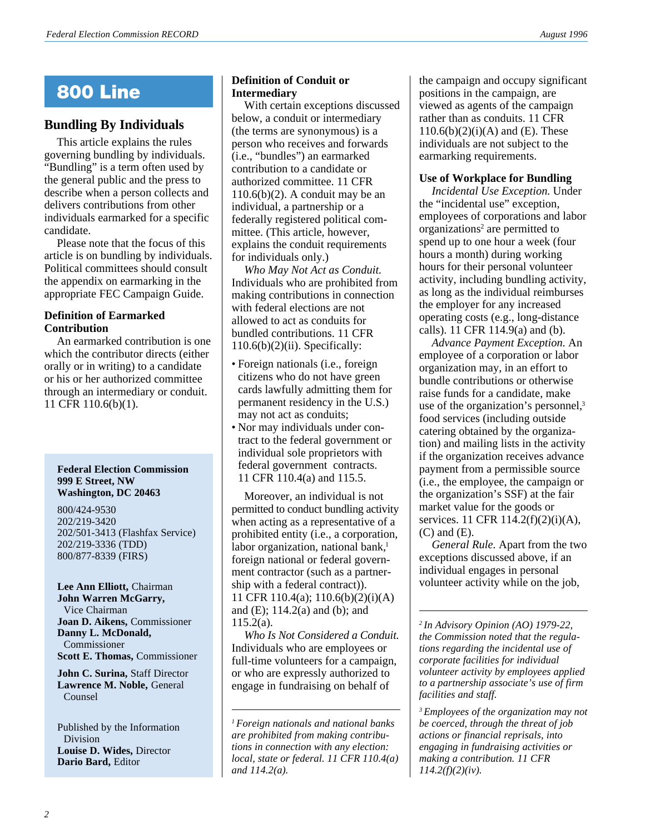# **800 Line**

# **Bundling By Individuals**

This article explains the rules governing bundling by individuals. "Bundling" is a term often used by the general public and the press to describe when a person collects and delivers contributions from other individuals earmarked for a specific candidate.

Please note that the focus of this article is on bundling by individuals. Political committees should consult the appendix on earmarking in the appropriate FEC Campaign Guide.

#### **Definition of Earmarked Contribution**

An earmarked contribution is one which the contributor directs (either orally or in writing) to a candidate or his or her authorized committee through an intermediary or conduit. 11 CFR 110.6(b)(1).

#### **Federal Election Commission 999 E Street, NW Washington, DC 20463**

800/424-9530 202/219-3420 202/501-3413 (Flashfax Service) 202/219-3336 (TDD) 800/877-8339 (FIRS)

**Lee Ann Elliott,** Chairman **John Warren McGarry,** Vice Chairman **Joan D. Aikens,** Commissioner **Danny L. McDonald,** Commissioner **Scott E. Thomas,** Commissioner

**John C. Surina,** Staff Director **Lawrence M. Noble,** General Counsel

Published by the Information Division **Louise D. Wides,** Director **Dario Bard,** Editor

#### **Definition of Conduit or Intermediary**

With certain exceptions discussed below, a conduit or intermediary (the terms are synonymous) is a person who receives and forwards (i.e., "bundles") an earmarked contribution to a candidate or authorized committee. 11 CFR  $110.6(b)(2)$ . A conduit may be an individual, a partnership or a federally registered political committee. (This article, however, explains the conduit requirements for individuals only.)

*Who May Not Act as Conduit.* Individuals who are prohibited from making contributions in connection with federal elections are not allowed to act as conduits for bundled contributions. 11 CFR  $110.6(b)(2)(ii)$ . Specifically:

- Foreign nationals (i.e., foreign citizens who do not have green cards lawfully admitting them for permanent residency in the U.S.) may not act as conduits;
- Nor may individuals under contract to the federal government or individual sole proprietors with federal government contracts. 11 CFR 110.4(a) and 115.5.

Moreover, an individual is not permitted to conduct bundling activity when acting as a representative of a prohibited entity (i.e., a corporation, labor organization, national bank, $<sup>1</sup>$ </sup> foreign national or federal government contractor (such as a partnership with a federal contract)). 11 CFR 110.4(a); 110.6(b)(2)(i)(A) and (E); 114.2(a) and (b); and 115.2(a).

*Who Is Not Considered a Conduit.* Individuals who are employees or full-time volunteers for a campaign, or who are expressly authorized to engage in fundraising on behalf of

*<sup>1</sup> Foreign nationals and national banks are prohibited from making contributions in connection with any election: local, state or federal. 11 CFR 110.4(a) and 114.2(a).*

the campaign and occupy significant positions in the campaign, are viewed as agents of the campaign rather than as conduits. 11 CFR  $110.6(b)(2)(i)(A)$  and (E). These individuals are not subject to the earmarking requirements.

#### **Use of Workplace for Bundling**

*Incidental Use Exception.* Under the "incidental use" exception, employees of corporations and labor organizations<sup>2</sup> are permitted to spend up to one hour a week (four hours a month) during working hours for their personal volunteer activity, including bundling activity, as long as the individual reimburses the employer for any increased operating costs (e.g., long-distance calls). 11 CFR 114.9(a) and (b).

*Advance Payment Exception.* An employee of a corporation or labor organization may, in an effort to bundle contributions or otherwise raise funds for a candidate, make use of the organization's personnel,<sup>3</sup> food services (including outside catering obtained by the organization) and mailing lists in the activity if the organization receives advance payment from a permissible source (i.e., the employee, the campaign or the organization's SSF) at the fair market value for the goods or services. 11 CFR 114.2(f)(2)(i)(A), (C) and (E).

*General Rule.* Apart from the two exceptions discussed above, if an individual engages in personal volunteer activity while on the job,

*<sup>2</sup> In Advisory Opinion (AO) 1979-22, the Commission noted that the regulations regarding the incidental use of corporate facilities for individual volunteer activity by employees applied to a partnership associate's use of firm facilities and staff.*

*<sup>3</sup> Employees of the organization may not be coerced, through the threat of job actions or financial reprisals, into engaging in fundraising activities or making a contribution. 11 CFR 114.2(f)(2)(iv).*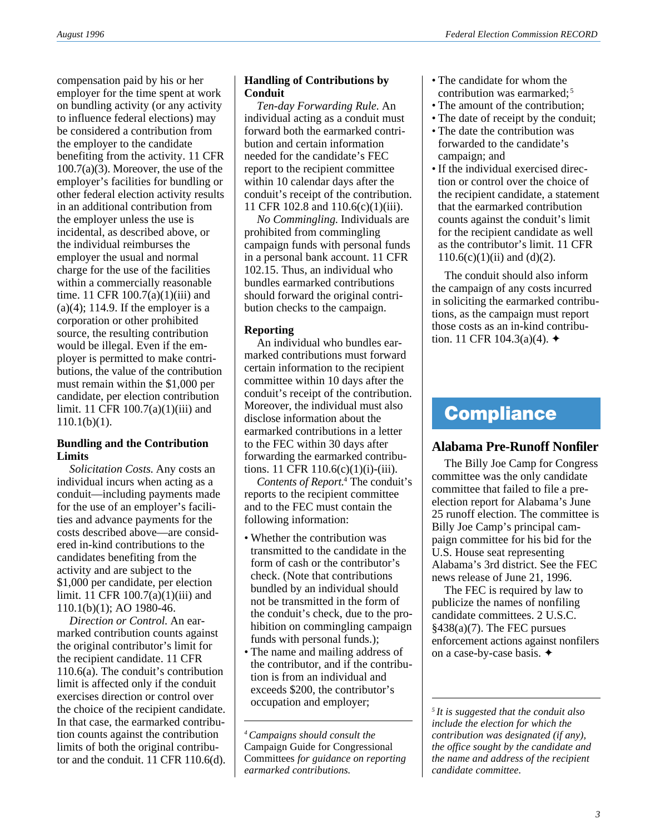compensation paid by his or her employer for the time spent at work on bundling activity (or any activity to influence federal elections) may be considered a contribution from the employer to the candidate benefiting from the activity. 11 CFR 100.7(a)(3). Moreover, the use of the employer's facilities for bundling or other federal election activity results in an additional contribution from the employer unless the use is incidental, as described above, or the individual reimburses the employer the usual and normal charge for the use of the facilities within a commercially reasonable time. 11 CFR 100.7(a)(1)(iii) and  $(a)(4)$ ; 114.9. If the employer is a corporation or other prohibited source, the resulting contribution would be illegal. Even if the employer is permitted to make contributions, the value of the contribution must remain within the \$1,000 per candidate, per election contribution limit. 11 CFR  $100.7(a)(1)(iii)$  and  $110.1(b)(1)$ .

#### **Bundling and the Contribution Limits**

*Solicitation Costs.* Any costs an individual incurs when acting as a conduit—including payments made for the use of an employer's facilities and advance payments for the costs described above—are considered in-kind contributions to the candidates benefiting from the activity and are subject to the \$1,000 per candidate, per election limit. 11 CFR 100.7(a)(1)(iii) and 110.1(b)(1); AO 1980-46.

*Direction or Control.* An earmarked contribution counts against the original contributor's limit for the recipient candidate. 11 CFR 110.6(a). The conduit's contribution limit is affected only if the conduit exercises direction or control over the choice of the recipient candidate. In that case, the earmarked contribution counts against the contribution limits of both the original contributor and the conduit. 11 CFR 110.6(d).

### **Handling of Contributions by Conduit**

*Ten-day Forwarding Rule.* An individual acting as a conduit must forward both the earmarked contribution and certain information needed for the candidate's FEC report to the recipient committee within 10 calendar days after the conduit's receipt of the contribution. 11 CFR 102.8 and 110.6(c)(1)(iii).

*No Commingling.* Individuals are prohibited from commingling campaign funds with personal funds in a personal bank account. 11 CFR 102.15. Thus, an individual who bundles earmarked contributions should forward the original contribution checks to the campaign.

### **Reporting**

An individual who bundles earmarked contributions must forward certain information to the recipient committee within 10 days after the conduit's receipt of the contribution. Moreover, the individual must also disclose information about the earmarked contributions in a letter to the FEC within 30 days after forwarding the earmarked contributions. 11 CFR 110.6(c)(1)(i)-(iii).

*Contents of Report.*4 The conduit's reports to the recipient committee and to the FEC must contain the following information:

- Whether the contribution was transmitted to the candidate in the form of cash or the contributor's check. (Note that contributions bundled by an individual should not be transmitted in the form of the conduit's check, due to the prohibition on commingling campaign funds with personal funds.);
- The name and mailing address of the contributor, and if the contribution is from an individual and exceeds \$200, the contributor's occupation and employer;
- The candidate for whom the contribution was earmarked;<sup>5</sup>
- The amount of the contribution;
- The date of receipt by the conduit;
- The date the contribution was forwarded to the candidate's campaign; and
- If the individual exercised direction or control over the choice of the recipient candidate, a statement that the earmarked contribution counts against the conduit's limit for the recipient candidate as well as the contributor's limit. 11 CFR  $110.6(c)(1)(ii)$  and  $(d)(2)$ .

The conduit should also inform the campaign of any costs incurred in soliciting the earmarked contributions, as the campaign must report those costs as an in-kind contribution. 11 CFR 104.3(a)(4).  $\triangleleft$ 

# **Compliance**

# **Alabama Pre-Runoff Nonfiler**

The Billy Joe Camp for Congress committee was the only candidate committee that failed to file a preelection report for Alabama's June 25 runoff election. The committee is Billy Joe Camp's principal campaign committee for his bid for the U.S. House seat representing Alabama's 3rd district. See the FEC news release of June 21, 1996.

The FEC is required by law to publicize the names of nonfiling candidate committees. 2 U.S.C. §438(a)(7). The FEC pursues enforcement actions against nonfilers on a case-by-case basis. ✦

*5 It is suggested that the conduit also include the election for which the contribution was designated (if any), the office sought by the candidate and the name and address of the recipient candidate committee.*

*<sup>4</sup> Campaigns should consult the* Campaign Guide for Congressional Committees *for guidance on reporting earmarked contributions.*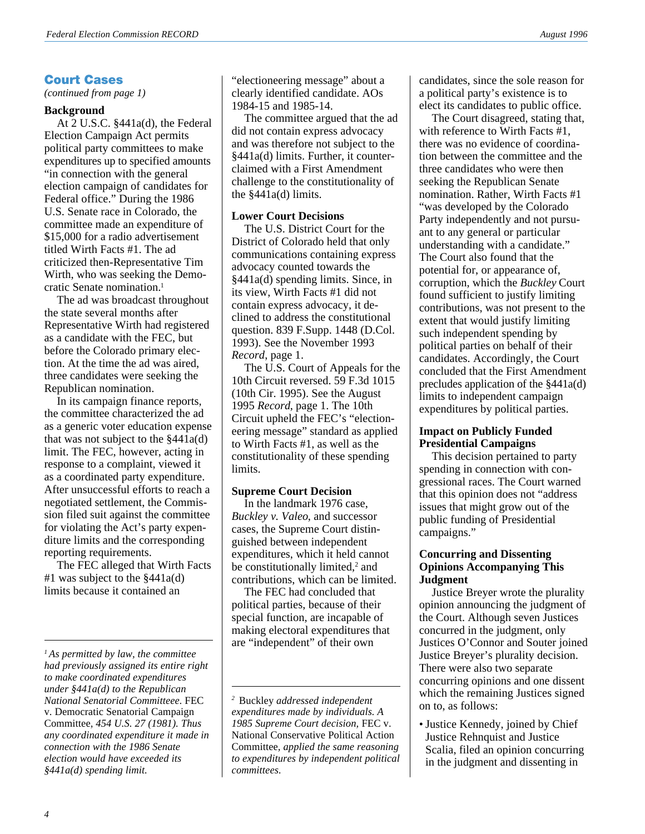# **Court Cases**

*(continued from page 1)*

#### **Background**

At 2 U.S.C. §441a(d), the Federal Election Campaign Act permits political party committees to make expenditures up to specified amounts "in connection with the general election campaign of candidates for Federal office." During the 1986 U.S. Senate race in Colorado, the committee made an expenditure of \$15,000 for a radio advertisement titled Wirth Facts #1. The ad criticized then-Representative Tim Wirth, who was seeking the Democratic Senate nomination.1

The ad was broadcast throughout the state several months after Representative Wirth had registered as a candidate with the FEC, but before the Colorado primary election. At the time the ad was aired, three candidates were seeking the Republican nomination.

In its campaign finance reports, the committee characterized the ad as a generic voter education expense that was not subject to the  $§441a(d)$ limit. The FEC, however, acting in response to a complaint, viewed it as a coordinated party expenditure. After unsuccessful efforts to reach a negotiated settlement, the Commission filed suit against the committee for violating the Act's party expenditure limits and the corresponding reporting requirements.

The FEC alleged that Wirth Facts  $#1$  was subject to the  $§441a(d)$ limits because it contained an

"electioneering message" about a clearly identified candidate. AOs 1984-15 and 1985-14.

The committee argued that the ad did not contain express advocacy and was therefore not subject to the §441a(d) limits. Further, it counterclaimed with a First Amendment challenge to the constitutionality of the  $§441a(d)$  limits.

#### **Lower Court Decisions**

The U.S. District Court for the District of Colorado held that only communications containing express advocacy counted towards the §441a(d) spending limits. Since, in its view, Wirth Facts #1 did not contain express advocacy, it declined to address the constitutional question. 839 F.Supp. 1448 (D.Col. 1993). See the November 1993 *Record*, page 1.

The U.S. Court of Appeals for the 10th Circuit reversed. 59 F.3d 1015 (10th Cir. 1995). See the August 1995 *Record*, page 1. The 10th Circuit upheld the FEC's "electioneering message" standard as applied to Wirth Facts #1, as well as the constitutionality of these spending limits.

#### **Supreme Court Decision**

In the landmark 1976 case, *Buckley v. Valeo*, and successor cases, the Supreme Court distinguished between independent expenditures, which it held cannot be constitutionally limited,<sup>2</sup> and contributions, which can be limited.

The FEC had concluded that political parties, because of their special function, are incapable of making electoral expenditures that are "independent" of their own

candidates, since the sole reason for a political party's existence is to elect its candidates to public office.

The Court disagreed, stating that, with reference to Wirth Facts #1, there was no evidence of coordination between the committee and the three candidates who were then seeking the Republican Senate nomination. Rather, Wirth Facts #1 "was developed by the Colorado Party independently and not pursuant to any general or particular understanding with a candidate." The Court also found that the potential for, or appearance of, corruption, which the *Buckley* Court found sufficient to justify limiting contributions, was not present to the extent that would justify limiting such independent spending by political parties on behalf of their candidates. Accordingly, the Court concluded that the First Amendment precludes application of the §441a(d) limits to independent campaign expenditures by political parties.

#### **Impact on Publicly Funded Presidential Campaigns**

This decision pertained to party spending in connection with congressional races. The Court warned that this opinion does not "address issues that might grow out of the public funding of Presidential campaigns."

#### **Concurring and Dissenting Opinions Accompanying This Judgment**

Justice Breyer wrote the plurality opinion announcing the judgment of the Court. Although seven Justices concurred in the judgment, only Justices O'Connor and Souter joined Justice Breyer's plurality decision. There were also two separate concurring opinions and one dissent which the remaining Justices signed on to, as follows:

• Justice Kennedy, joined by Chief Justice Rehnquist and Justice Scalia, filed an opinion concurring in the judgment and dissenting in

*<sup>1</sup> As permitted by law, the committee had previously assigned its entire right to make coordinated expenditures under §441a(d) to the Republican National Senatorial Committeee.* FEC v. Democratic Senatorial Campaign Committee*, 454 U.S. 27 (1981). Thus any coordinated expenditure it made in connection with the 1986 Senate election would have exceeded its §441a(d) spending limit.*

*<sup>2</sup>* Buckley *addressed independent expenditures made by individuals. A 1985 Supreme Court decision,* FEC v. National Conservative Political Action Committee*, applied the same reasoning to expenditures by independent political committees.*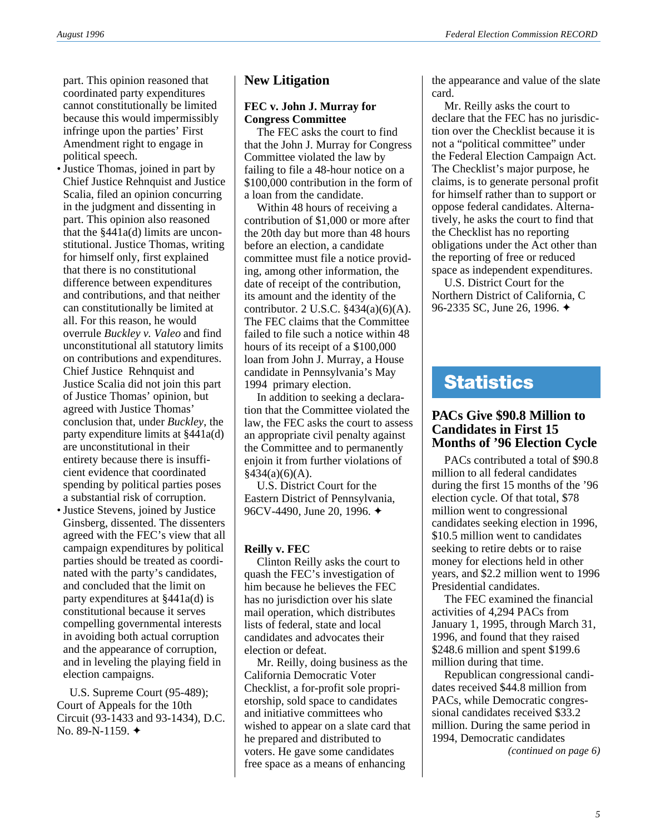part. This opinion reasoned that coordinated party expenditures cannot constitutionally be limited because this would impermissibly infringe upon the parties' First Amendment right to engage in political speech.

- Justice Thomas, joined in part by Chief Justice Rehnquist and Justice Scalia, filed an opinion concurring in the judgment and dissenting in part. This opinion also reasoned that the  $§441a(d)$  limits are unconstitutional. Justice Thomas, writing for himself only, first explained that there is no constitutional difference between expenditures and contributions, and that neither can constitutionally be limited at all. For this reason, he would overrule *Buckley v. Valeo* and find unconstitutional all statutory limits on contributions and expenditures. Chief Justice Rehnquist and Justice Scalia did not join this part of Justice Thomas' opinion, but agreed with Justice Thomas' conclusion that, under *Buckley*, the party expenditure limits at §441a(d) are unconstitutional in their entirety because there is insufficient evidence that coordinated spending by political parties poses a substantial risk of corruption.
- Justice Stevens, joined by Justice Ginsberg, dissented. The dissenters agreed with the FEC's view that all campaign expenditures by political parties should be treated as coordinated with the party's candidates, and concluded that the limit on party expenditures at §441a(d) is constitutional because it serves compelling governmental interests in avoiding both actual corruption and the appearance of corruption, and in leveling the playing field in election campaigns.

U.S. Supreme Court (95-489); Court of Appeals for the 10th Circuit (93-1433 and 93-1434), D.C. No. 89-N-1159. ✦

# **New Litigation**

#### **FEC v. John J. Murray for Congress Committee**

The FEC asks the court to find that the John J. Murray for Congress Committee violated the law by failing to file a 48-hour notice on a \$100,000 contribution in the form of a loan from the candidate.

Within 48 hours of receiving a contribution of \$1,000 or more after the 20th day but more than 48 hours before an election, a candidate committee must file a notice providing, among other information, the date of receipt of the contribution, its amount and the identity of the contributor. 2 U.S.C. §434(a)(6)(A). The FEC claims that the Committee failed to file such a notice within 48 hours of its receipt of a \$100,000 loan from John J. Murray, a House candidate in Pennsylvania's May 1994 primary election.

In addition to seeking a declaration that the Committee violated the law, the FEC asks the court to assess an appropriate civil penalty against the Committee and to permanently enjoin it from further violations of  $§434(a)(6)(A).$ 

U.S. District Court for the Eastern District of Pennsylvania, 96CV-4490, June 20, 1996. ✦

#### **Reilly v. FEC**

Clinton Reilly asks the court to quash the FEC's investigation of him because he believes the FEC has no jurisdiction over his slate mail operation, which distributes lists of federal, state and local candidates and advocates their election or defeat.

Mr. Reilly, doing business as the California Democratic Voter Checklist, a for-profit sole proprietorship, sold space to candidates and initiative committees who wished to appear on a slate card that he prepared and distributed to voters. He gave some candidates free space as a means of enhancing

the appearance and value of the slate card.

Mr. Reilly asks the court to declare that the FEC has no jurisdiction over the Checklist because it is not a "political committee" under the Federal Election Campaign Act. The Checklist's major purpose, he claims, is to generate personal profit for himself rather than to support or oppose federal candidates. Alternatively, he asks the court to find that the Checklist has no reporting obligations under the Act other than the reporting of free or reduced space as independent expenditures.

U.S. District Court for the Northern District of California, C 96-2335 SC, June 26, 1996. ✦

# **Statistics**

# **PACs Give \$90.8 Million to Candidates in First 15 Months of '96 Election Cycle**

PACs contributed a total of \$90.8 million to all federal candidates during the first 15 months of the '96 election cycle. Of that total, \$78 million went to congressional candidates seeking election in 1996, \$10.5 million went to candidates seeking to retire debts or to raise money for elections held in other years, and \$2.2 million went to 1996 Presidential candidates.

The FEC examined the financial activities of 4,294 PACs from January 1, 1995, through March 31, 1996, and found that they raised \$248.6 million and spent \$199.6 million during that time.

*(continued on page 6)* Republican congressional candidates received \$44.8 million from PACs, while Democratic congressional candidates received \$33.2 million. During the same period in 1994, Democratic candidates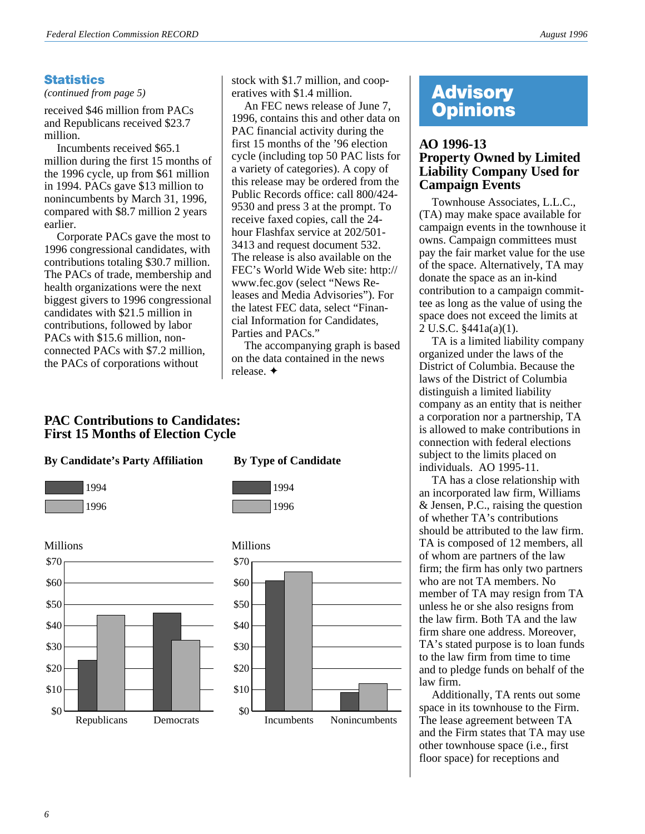# **Statistics**

*(continued from page 5)*

received \$46 million from PACs and Republicans received \$23.7 million.

Incumbents received \$65.1 million during the first 15 months of the 1996 cycle, up from \$61 million in 1994. PACs gave \$13 million to nonincumbents by March 31, 1996, compared with \$8.7 million 2 years earlier.

Corporate PACs gave the most to 1996 congressional candidates, with contributions totaling \$30.7 million. The PACs of trade, membership and health organizations were the next biggest givers to 1996 congressional candidates with \$21.5 million in contributions, followed by labor PACs with \$15.6 million, nonconnected PACs with \$7.2 million, the PACs of corporations without

stock with \$1.7 million, and cooperatives with \$1.4 million.

An FEC news release of June 7, 1996, contains this and other data on PAC financial activity during the first 15 months of the '96 election cycle (including top 50 PAC lists for a variety of categories). A copy of this release may be ordered from the Public Records office: call 800/424- 9530 and press 3 at the prompt. To receive faxed copies, call the 24 hour Flashfax service at 202/501- 3413 and request document 532. The release is also available on the FEC's World Wide Web site: http:// www.fec.gov (select "News Releases and Media Advisories"). For the latest FEC data, select "Financial Information for Candidates, Parties and PACs."

The accompanying graph is based on the data contained in the news release. ✦

# **PAC Contributions to Candidates: First 15 Months of Election Cycle**

#### **By Candidate's Party Affiliation By Type of Candidate**







1996



# **Advisory Opinions**

# **AO 1996-13 Property Owned by Limited Liability Company Used for Campaign Events**

Townhouse Associates, L.L.C., (TA) may make space available for campaign events in the townhouse it owns. Campaign committees must pay the fair market value for the use of the space. Alternatively, TA may donate the space as an in-kind contribution to a campaign committee as long as the value of using the space does not exceed the limits at 2 U.S.C. §441a(a)(1).

TA is a limited liability company organized under the laws of the District of Columbia. Because the laws of the District of Columbia distinguish a limited liability company as an entity that is neither a corporation nor a partnership, TA is allowed to make contributions in connection with federal elections subject to the limits placed on individuals. AO 1995-11.

TA has a close relationship with an incorporated law firm, Williams & Jensen, P.C., raising the question of whether TA's contributions should be attributed to the law firm. TA is composed of 12 members, all of whom are partners of the law firm; the firm has only two partners who are not TA members. No member of TA may resign from TA unless he or she also resigns from the law firm. Both TA and the law firm share one address. Moreover, TA's stated purpose is to loan funds to the law firm from time to time and to pledge funds on behalf of the law firm.

Additionally, TA rents out some space in its townhouse to the Firm. The lease agreement between TA and the Firm states that TA may use other townhouse space (i.e., first floor space) for receptions and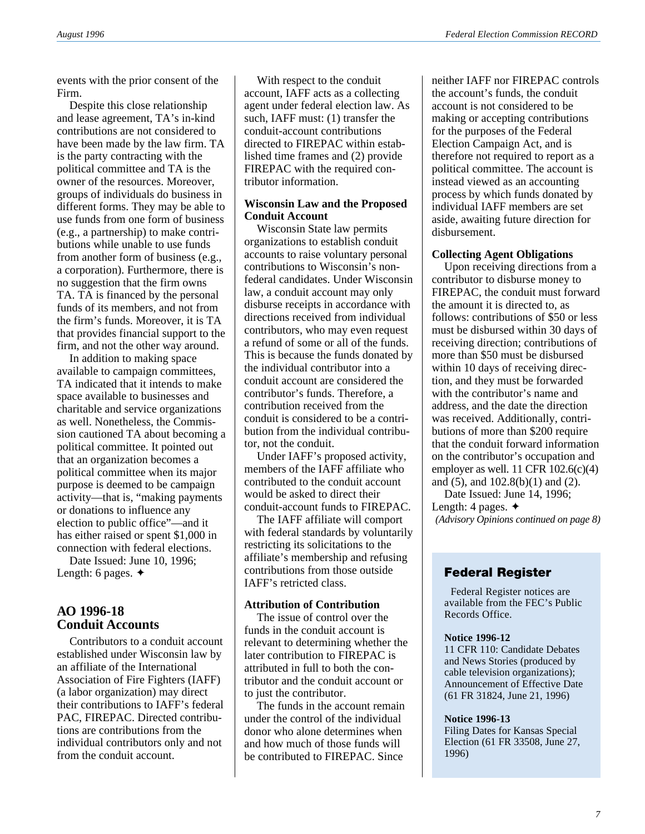events with the prior consent of the Firm.

Despite this close relationship and lease agreement, TA's in-kind contributions are not considered to have been made by the law firm. TA is the party contracting with the political committee and TA is the owner of the resources. Moreover, groups of individuals do business in different forms. They may be able to use funds from one form of business (e.g., a partnership) to make contributions while unable to use funds from another form of business (e.g., a corporation). Furthermore, there is no suggestion that the firm owns TA. TA is financed by the personal funds of its members, and not from the firm's funds. Moreover, it is TA that provides financial support to the firm, and not the other way around.

In addition to making space available to campaign committees, TA indicated that it intends to make space available to businesses and charitable and service organizations as well. Nonetheless, the Commission cautioned TA about becoming a political committee. It pointed out that an organization becomes a political committee when its major purpose is deemed to be campaign activity—that is, "making payments or donations to influence any election to public office"—and it has either raised or spent \$1,000 in connection with federal elections.

Date Issued: June 10, 1996; Length: 6 pages. ✦

# **AO 1996-18 Conduit Accounts**

Contributors to a conduit account established under Wisconsin law by an affiliate of the International Association of Fire Fighters (IAFF) (a labor organization) may direct their contributions to IAFF's federal PAC, FIREPAC. Directed contributions are contributions from the individual contributors only and not from the conduit account.

With respect to the conduit account, IAFF acts as a collecting agent under federal election law. As such, IAFF must: (1) transfer the conduit-account contributions directed to FIREPAC within established time frames and (2) provide FIREPAC with the required contributor information.

### **Wisconsin Law and the Proposed Conduit Account**

Wisconsin State law permits organizations to establish conduit accounts to raise voluntary personal contributions to Wisconsin's nonfederal candidates. Under Wisconsin law, a conduit account may only disburse receipts in accordance with directions received from individual contributors, who may even request a refund of some or all of the funds. This is because the funds donated by the individual contributor into a conduit account are considered the contributor's funds. Therefore, a contribution received from the conduit is considered to be a contribution from the individual contributor, not the conduit.

Under IAFF's proposed activity, members of the IAFF affiliate who contributed to the conduit account would be asked to direct their conduit-account funds to FIREPAC.

The IAFF affiliate will comport with federal standards by voluntarily restricting its solicitations to the affiliate's membership and refusing contributions from those outside IAFF's retricted class.

#### **Attribution of Contribution**

The issue of control over the funds in the conduit account is relevant to determining whether the later contribution to FIREPAC is attributed in full to both the contributor and the conduit account or to just the contributor.

The funds in the account remain under the control of the individual donor who alone determines when and how much of those funds will be contributed to FIREPAC. Since

neither IAFF nor FIREPAC controls the account's funds, the conduit account is not considered to be making or accepting contributions for the purposes of the Federal Election Campaign Act, and is therefore not required to report as a political committee. The account is instead viewed as an accounting process by which funds donated by individual IAFF members are set aside, awaiting future direction for disbursement.

### **Collecting Agent Obligations**

Upon receiving directions from a contributor to disburse money to FIREPAC, the conduit must forward the amount it is directed to, as follows: contributions of \$50 or less must be disbursed within 30 days of receiving direction; contributions of more than \$50 must be disbursed within 10 days of receiving direction, and they must be forwarded with the contributor's name and address, and the date the direction was received. Additionally, contributions of more than \$200 require that the conduit forward information on the contributor's occupation and employer as well.  $11$  CFR  $102.6(c)(4)$ and (5), and 102.8(b)(1) and (2).

Date Issued: June 14, 1996; Length: 4 pages. ✦ *(Advisory Opinions continued on page 8)*

# **Federal Register**

Federal Register notices are available from the FEC's Public Records Office.

#### **Notice 1996-12**

11 CFR 110: Candidate Debates and News Stories (produced by cable television organizations); Announcement of Effective Date (61 FR 31824, June 21, 1996)

#### **Notice 1996-13**

Filing Dates for Kansas Special Election (61 FR 33508, June 27, 1996)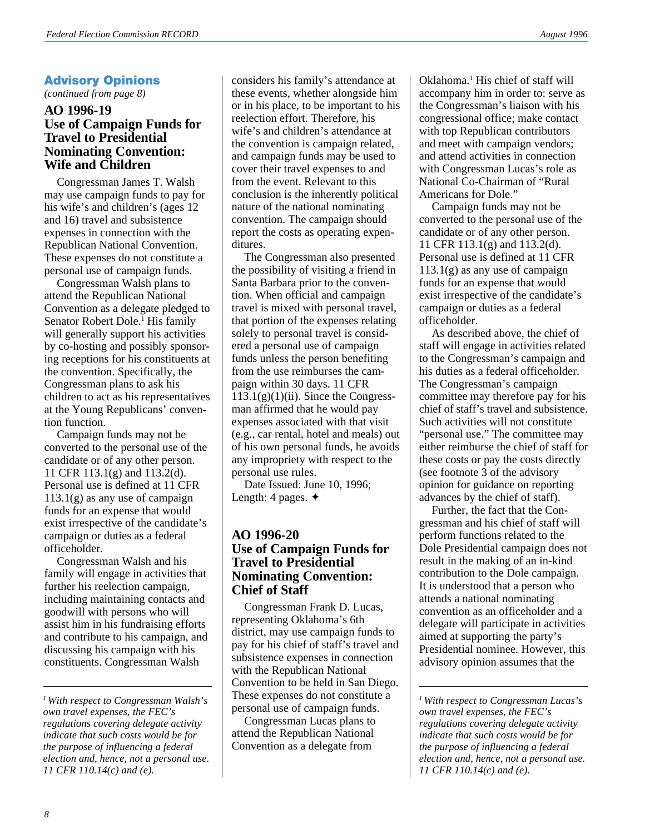# **Advisory Opinions**

*(continued from page 8)*

# **AO 1996-19 Use of Campaign Funds for Travel to Presidential Nominating Convention: Wife and Children**

Congressman James T. Walsh may use campaign funds to pay for his wife's and children's (ages 12 and 16) travel and subsistence expenses in connection with the Republican National Convention. These expenses do not constitute a personal use of campaign funds.

Congressman Walsh plans to attend the Republican National Convention as a delegate pledged to Senator Robert Dole.<sup>1</sup> His family will generally support his activities by co-hosting and possibly sponsoring receptions for his constituents at the convention. Specifically, the Congressman plans to ask his children to act as his representatives at the Young Republicans' convention function.

Campaign funds may not be converted to the personal use of the candidate or of any other person. 11 CFR 113.1(g) and 113.2(d). Personal use is defined at 11 CFR 113.1(g) as any use of campaign funds for an expense that would exist irrespective of the candidate's campaign or duties as a federal officeholder.

Congressman Walsh and his family will engage in activities that further his reelection campaign, including maintaining contacts and goodwill with persons who will assist him in his fundraising efforts and contribute to his campaign, and discussing his campaign with his constituents. Congressman Walsh

considers his family's attendance at these events, whether alongside him or in his place, to be important to his reelection effort. Therefore, his wife's and children's attendance at the convention is campaign related, and campaign funds may be used to cover their travel expenses to and from the event. Relevant to this conclusion is the inherently political nature of the national nominating convention. The campaign should report the costs as operating expenditures.

The Congressman also presented the possibility of visiting a friend in Santa Barbara prior to the convention. When official and campaign travel is mixed with personal travel, that portion of the expenses relating solely to personal travel is considered a personal use of campaign funds unless the person benefiting from the use reimburses the campaign within 30 days. 11 CFR  $113.1(g)(1)(ii)$ . Since the Congressman affirmed that he would pay expenses associated with that visit (e.g., car rental, hotel and meals) out of his own personal funds, he avoids any impropriety with respect to the personal use rules.

Date Issued: June 10, 1996; Length: 4 pages. ✦

# **AO 1996-20 Use of Campaign Funds for Travel to Presidential Nominating Convention: Chief of Staff**

Congressman Frank D. Lucas, representing Oklahoma's 6th district, may use campaign funds to pay for his chief of staff's travel and subsistence expenses in connection with the Republican National Convention to be held in San Diego. These expenses do not constitute a personal use of campaign funds.

Congressman Lucas plans to attend the Republican National Convention as a delegate from

Oklahoma.<sup>1</sup> His chief of staff will accompany him in order to: serve as the Congressman's liaison with his congressional office; make contact with top Republican contributors and meet with campaign vendors; and attend activities in connection with Congressman Lucas's role as National Co-Chairman of "Rural Americans for Dole."

Campaign funds may not be converted to the personal use of the candidate or of any other person. 11 CFR 113.1(g) and 113.2(d). Personal use is defined at 11 CFR 113.1(g) as any use of campaign funds for an expense that would exist irrespective of the candidate's campaign or duties as a federal officeholder.

As described above, the chief of staff will engage in activities related to the Congressman's campaign and his duties as a federal officeholder. The Congressman's campaign committee may therefore pay for his chief of staff's travel and subsistence. Such activities will not constitute "personal use." The committee may either reimburse the chief of staff for these costs or pay the costs directly (see footnote 3 of the advisory opinion for guidance on reporting advances by the chief of staff).

Further, the fact that the Congressman and his chief of staff will perform functions related to the Dole Presidential campaign does not result in the making of an in-kind contribution to the Dole campaign. It is understood that a person who attends a national nominating convention as an officeholder and a delegate will participate in activities aimed at supporting the party's Presidential nominee. However, this advisory opinion assumes that the

*<sup>1</sup> With respect to Congressman Walsh's own travel expenses, the FEC's regulations covering delegate activity indicate that such costs would be for the purpose of influencing a federal election and, hence, not a personal use. 11 CFR 110.14(c) and (e).*

*<sup>1</sup> With respect to Congressman Lucas's own travel expenses, the FEC's regulations covering delegate activity indicate that such costs would be for the purpose of influencing a federal election and, hence, not a personal use. 11 CFR 110.14(c) and (e).*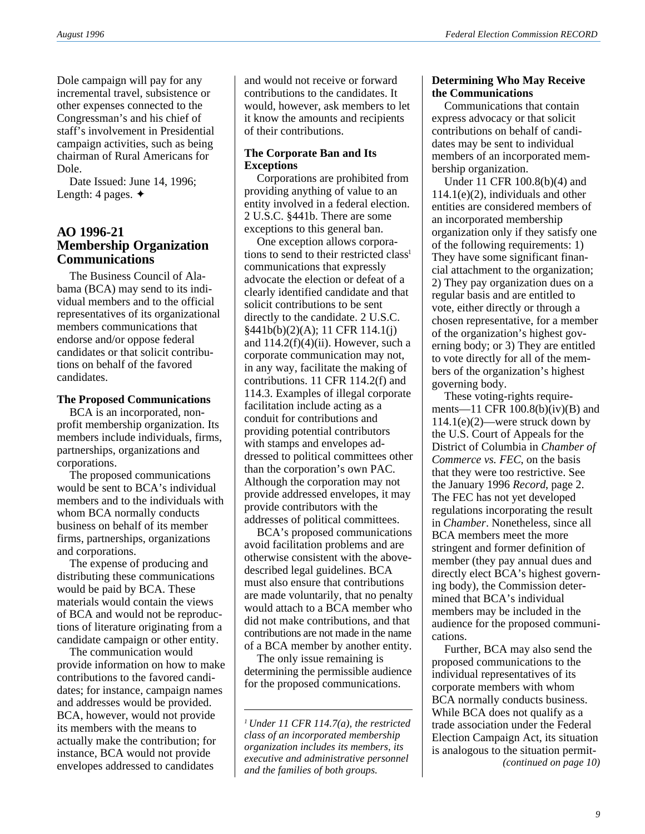Dole campaign will pay for any incremental travel, subsistence or other expenses connected to the Congressman's and his chief of staff's involvement in Presidential campaign activities, such as being chairman of Rural Americans for Dole.

Date Issued: June 14, 1996; Length: 4 pages. ✦

# **AO 1996-21 Membership Organization Communications**

The Business Council of Alabama (BCA) may send to its individual members and to the official representatives of its organizational members communications that endorse and/or oppose federal candidates or that solicit contributions on behalf of the favored candidates.

#### **The Proposed Communications**

BCA is an incorporated, nonprofit membership organization. Its members include individuals, firms, partnerships, organizations and corporations.

The proposed communications would be sent to BCA's individual members and to the individuals with whom BCA normally conducts business on behalf of its member firms, partnerships, organizations and corporations.

The expense of producing and distributing these communications would be paid by BCA. These materials would contain the views of BCA and would not be reproductions of literature originating from a candidate campaign or other entity.

The communication would provide information on how to make contributions to the favored candidates; for instance, campaign names and addresses would be provided. BCA, however, would not provide its members with the means to actually make the contribution; for instance, BCA would not provide envelopes addressed to candidates

and would not receive or forward contributions to the candidates. It would, however, ask members to let it know the amounts and recipients of their contributions.

### **The Corporate Ban and Its Exceptions**

Corporations are prohibited from providing anything of value to an entity involved in a federal election. 2 U.S.C. §441b. There are some exceptions to this general ban.

One exception allows corporations to send to their restricted class<sup>1</sup> communications that expressly advocate the election or defeat of a clearly identified candidate and that solicit contributions to be sent directly to the candidate. 2 U.S.C. §441b(b)(2)(A); 11 CFR 114.1(j) and  $114.2(f)(4)(ii)$ . However, such a corporate communication may not, in any way, facilitate the making of contributions. 11 CFR 114.2(f) and 114.3. Examples of illegal corporate facilitation include acting as a conduit for contributions and providing potential contributors with stamps and envelopes addressed to political committees other than the corporation's own PAC. Although the corporation may not provide addressed envelopes, it may provide contributors with the addresses of political committees.

BCA's proposed communications avoid facilitation problems and are otherwise consistent with the abovedescribed legal guidelines. BCA must also ensure that contributions are made voluntarily, that no penalty would attach to a BCA member who did not make contributions, and that contributions are not made in the name of a BCA member by another entity.

The only issue remaining is determining the permissible audience for the proposed communications.

#### **Determining Who May Receive the Communications**

Communications that contain express advocacy or that solicit contributions on behalf of candidates may be sent to individual members of an incorporated membership organization.

Under 11 CFR 100.8(b)(4) and 114.1(e)(2), individuals and other entities are considered members of an incorporated membership organization only if they satisfy one of the following requirements: 1) They have some significant financial attachment to the organization; 2) They pay organization dues on a regular basis and are entitled to vote, either directly or through a chosen representative, for a member of the organization's highest governing body; or 3) They are entitled to vote directly for all of the members of the organization's highest governing body.

These voting-rights requirements—11 CFR  $100.8(b)(iv)(B)$  and 114.1(e)(2)—were struck down by the U.S. Court of Appeals for the District of Columbia in *Chamber of Commerce vs. FEC*, on the basis that they were too restrictive. See the January 1996 *Record*, page 2. The FEC has not yet developed regulations incorporating the result in *Chamber*. Nonetheless, since all BCA members meet the more stringent and former definition of member (they pay annual dues and directly elect BCA's highest governing body), the Commission determined that BCA's individual members may be included in the audience for the proposed communications.

Further, BCA may also send the proposed communications to the individual representatives of its corporate members with whom BCA normally conducts business. While BCA does not qualify as a trade association under the Federal Election Campaign Act, its situation is analogous to the situation permit-

*<sup>1</sup> Under 11 CFR 114.7(a), the restricted class of an incorporated membership organization includes its members, its executive and administrative personnel executive and daministrative personnel*<br>and the families of both groups.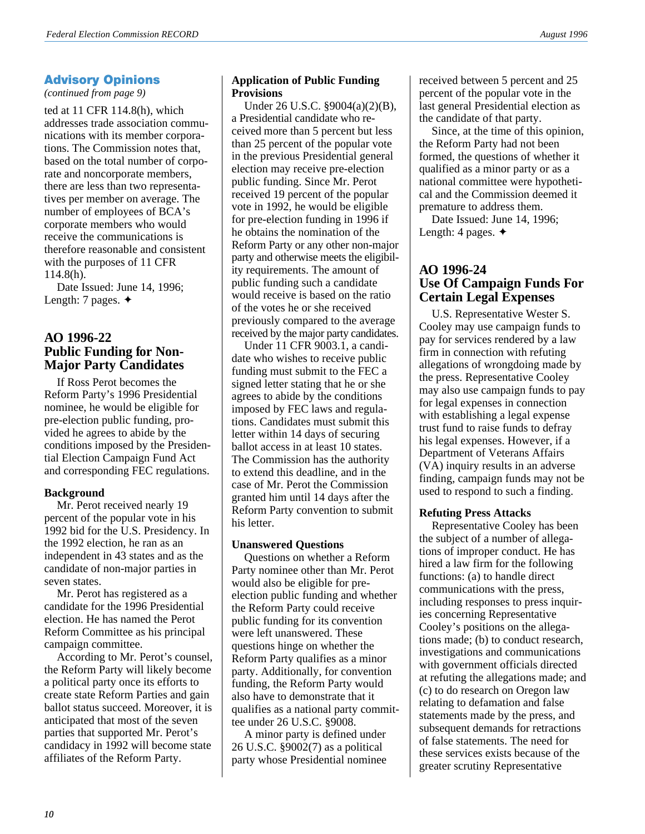# **Advisory Opinions**

*(continued from page 9)*

ted at 11 CFR 114.8(h), which addresses trade association communications with its member corporations. The Commission notes that, based on the total number of corporate and noncorporate members, there are less than two representatives per member on average. The number of employees of BCA's corporate members who would receive the communications is therefore reasonable and consistent with the purposes of 11 CFR 114.8(h).

Date Issued: June 14, 1996; Length: 7 pages. ✦

# **AO 1996-22 Public Funding for Non-Major Party Candidates**

If Ross Perot becomes the Reform Party's 1996 Presidential nominee, he would be eligible for pre-election public funding, provided he agrees to abide by the conditions imposed by the Presidential Election Campaign Fund Act and corresponding FEC regulations.

#### **Background**

Mr. Perot received nearly 19 percent of the popular vote in his 1992 bid for the U.S. Presidency. In the 1992 election, he ran as an independent in 43 states and as the candidate of non-major parties in seven states.

Mr. Perot has registered as a candidate for the 1996 Presidential election. He has named the Perot Reform Committee as his principal campaign committee.

According to Mr. Perot's counsel, the Reform Party will likely become a political party once its efforts to create state Reform Parties and gain ballot status succeed. Moreover, it is anticipated that most of the seven parties that supported Mr. Perot's candidacy in 1992 will become state affiliates of the Reform Party.

#### **Application of Public Funding Provisions**

Under 26 U.S.C. §9004(a)(2)(B), a Presidential candidate who received more than 5 percent but less than 25 percent of the popular vote in the previous Presidential general election may receive pre-election public funding. Since Mr. Perot received 19 percent of the popular vote in 1992, he would be eligible for pre-election funding in 1996 if he obtains the nomination of the Reform Party or any other non-major party and otherwise meets the eligibility requirements. The amount of public funding such a candidate would receive is based on the ratio of the votes he or she received previously compared to the average received by the major party candidates.

Under 11 CFR 9003.1, a candidate who wishes to receive public funding must submit to the FEC a signed letter stating that he or she agrees to abide by the conditions imposed by FEC laws and regulations. Candidates must submit this letter within 14 days of securing ballot access in at least 10 states. The Commission has the authority to extend this deadline, and in the case of Mr. Perot the Commission granted him until 14 days after the Reform Party convention to submit his letter.

#### **Unanswered Questions**

Questions on whether a Reform Party nominee other than Mr. Perot would also be eligible for preelection public funding and whether the Reform Party could receive public funding for its convention were left unanswered. These questions hinge on whether the Reform Party qualifies as a minor party. Additionally, for convention funding, the Reform Party would also have to demonstrate that it qualifies as a national party committee under 26 U.S.C. §9008.

A minor party is defined under 26 U.S.C. §9002(7) as a political party whose Presidential nominee

received between 5 percent and 25 percent of the popular vote in the last general Presidential election as the candidate of that party.

Since, at the time of this opinion, the Reform Party had not been formed, the questions of whether it qualified as a minor party or as a national committee were hypothetical and the Commission deemed it premature to address them.

Date Issued: June 14, 1996; Length: 4 pages. ✦

# **AO 1996-24 Use Of Campaign Funds For Certain Legal Expenses**

U.S. Representative Wester S. Cooley may use campaign funds to pay for services rendered by a law firm in connection with refuting allegations of wrongdoing made by the press. Representative Cooley may also use campaign funds to pay for legal expenses in connection with establishing a legal expense trust fund to raise funds to defray his legal expenses. However, if a Department of Veterans Affairs (VA) inquiry results in an adverse finding, campaign funds may not be used to respond to such a finding.

#### **Refuting Press Attacks**

Representative Cooley has been the subject of a number of allegations of improper conduct. He has hired a law firm for the following functions: (a) to handle direct communications with the press, including responses to press inquiries concerning Representative Cooley's positions on the allegations made; (b) to conduct research, investigations and communications with government officials directed at refuting the allegations made; and (c) to do research on Oregon law relating to defamation and false statements made by the press, and subsequent demands for retractions of false statements. The need for these services exists because of the greater scrutiny Representative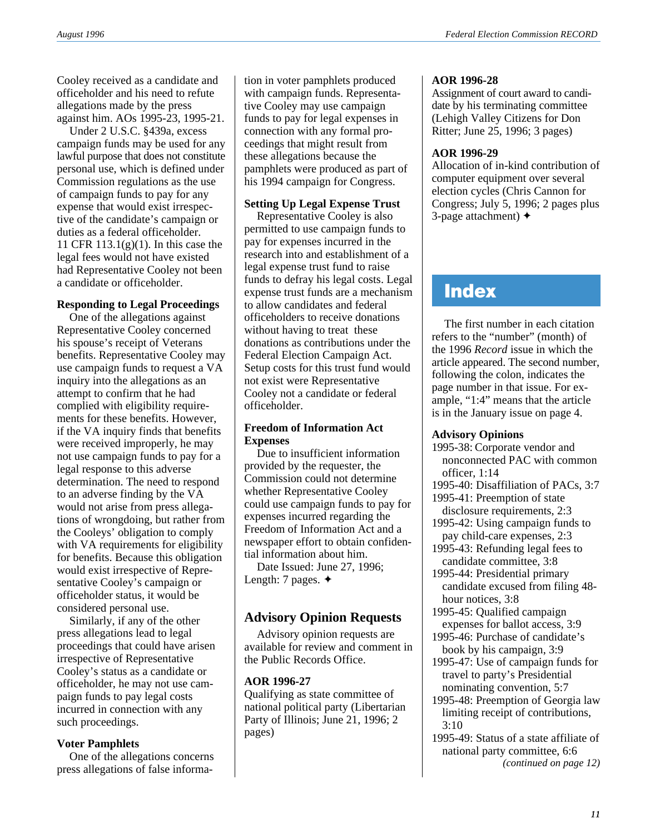Cooley received as a candidate and officeholder and his need to refute allegations made by the press against him. AOs 1995-23, 1995-21.

Under 2 U.S.C. §439a, excess campaign funds may be used for any lawful purpose that does not constitute personal use, which is defined under Commission regulations as the use of campaign funds to pay for any expense that would exist irrespective of the candidate's campaign or duties as a federal officeholder. 11 CFR 113.1(g)(1). In this case the legal fees would not have existed had Representative Cooley not been a candidate or officeholder.

#### **Responding to Legal Proceedings**

One of the allegations against Representative Cooley concerned his spouse's receipt of Veterans benefits. Representative Cooley may use campaign funds to request a VA inquiry into the allegations as an attempt to confirm that he had complied with eligibility requirements for these benefits. However, if the VA inquiry finds that benefits were received improperly, he may not use campaign funds to pay for a legal response to this adverse determination. The need to respond to an adverse finding by the VA would not arise from press allegations of wrongdoing, but rather from the Cooleys' obligation to comply with VA requirements for eligibility for benefits. Because this obligation would exist irrespective of Representative Cooley's campaign or officeholder status, it would be considered personal use.

Similarly, if any of the other press allegations lead to legal proceedings that could have arisen irrespective of Representative Cooley's status as a candidate or officeholder, he may not use campaign funds to pay legal costs incurred in connection with any such proceedings.

#### **Voter Pamphlets**

One of the allegations concerns press allegations of false informa-

tion in voter pamphlets produced with campaign funds. Representative Cooley may use campaign funds to pay for legal expenses in connection with any formal proceedings that might result from these allegations because the pamphlets were produced as part of his 1994 campaign for Congress.

#### **Setting Up Legal Expense Trust**

Representative Cooley is also permitted to use campaign funds to pay for expenses incurred in the research into and establishment of a legal expense trust fund to raise funds to defray his legal costs. Legal expense trust funds are a mechanism to allow candidates and federal officeholders to receive donations without having to treat these donations as contributions under the Federal Election Campaign Act. Setup costs for this trust fund would not exist were Representative Cooley not a candidate or federal officeholder.

### **Freedom of Information Act Expenses**

Due to insufficient information provided by the requester, the Commission could not determine whether Representative Cooley could use campaign funds to pay for expenses incurred regarding the Freedom of Information Act and a newspaper effort to obtain confidential information about him.

Date Issued: June 27, 1996; Length: 7 pages. ✦

# **Advisory Opinion Requests**

Advisory opinion requests are available for review and comment in the Public Records Office.

#### **AOR 1996-27**

Qualifying as state committee of national political party (Libertarian Party of Illinois; June 21, 1996; 2 pages)

### **AOR 1996-28**

Assignment of court award to candidate by his terminating committee (Lehigh Valley Citizens for Don Ritter; June 25, 1996; 3 pages)

# **AOR 1996-29**

Allocation of in-kind contribution of computer equipment over several election cycles (Chris Cannon for Congress; July 5, 1996; 2 pages plus 3-page attachment) ✦

# **Index**

The first number in each citation refers to the "number" (month) of the 1996 *Record* issue in which the article appeared. The second number, following the colon, indicates the page number in that issue. For example, "1:4" means that the article is in the January issue on page 4.

#### **Advisory Opinions**

1995-38: Corporate vendor and nonconnected PAC with common officer, 1:14 1995-40: Disaffiliation of PACs, 3:7 1995-41: Preemption of state disclosure requirements, 2:3 1995-42: Using campaign funds to pay child-care expenses, 2:3 1995-43: Refunding legal fees to candidate committee, 3:8 1995-44: Presidential primary candidate excused from filing 48 hour notices, 3:8 1995-45: Qualified campaign expenses for ballot access, 3:9 1995-46: Purchase of candidate's book by his campaign, 3:9 1995-47: Use of campaign funds for travel to party's Presidential nominating convention, 5:7 1995-48: Preemption of Georgia law limiting receipt of contributions, 3:10 1995-49: Status of a state affiliate of national party committee, 6:6 *(continued on page 12)*